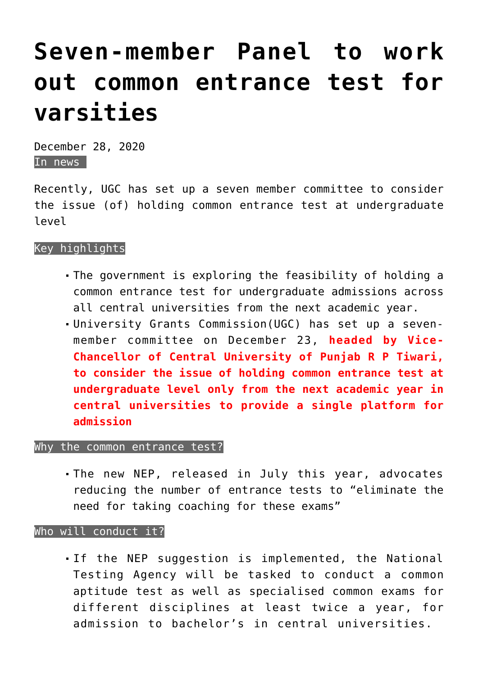# **[Seven-member Panel to work](https://journalsofindia.com/seven-member-panel-to-work-out-common-entrance-test-for-varsities/) [out common entrance test for](https://journalsofindia.com/seven-member-panel-to-work-out-common-entrance-test-for-varsities/) [varsities](https://journalsofindia.com/seven-member-panel-to-work-out-common-entrance-test-for-varsities/)**

December 28, 2020 In news

Recently, UGC has set up a seven member committee to consider the issue (of) holding common entrance test at undergraduate level

#### Key highlights

- The government is exploring the feasibility of holding a common entrance test for undergraduate admissions across all central universities from the next academic year.
- University Grants Commission(UGC) has set up a sevenmember committee on December 23, **headed by Vice-Chancellor of Central University of Punjab R P Tiwari, to consider the issue of holding common entrance test at undergraduate level only from the next academic year in central universities to provide a single platform for admission**

### Why the common entrance test?

The new NEP, released in July this year, advocates reducing the number of entrance tests to "eliminate the need for taking coaching for these exams"

#### Who will conduct it?

If the NEP suggestion is implemented, the National Testing Agency will be tasked to conduct a common aptitude test as well as specialised common exams for different disciplines at least twice a year, for admission to bachelor's in central universities.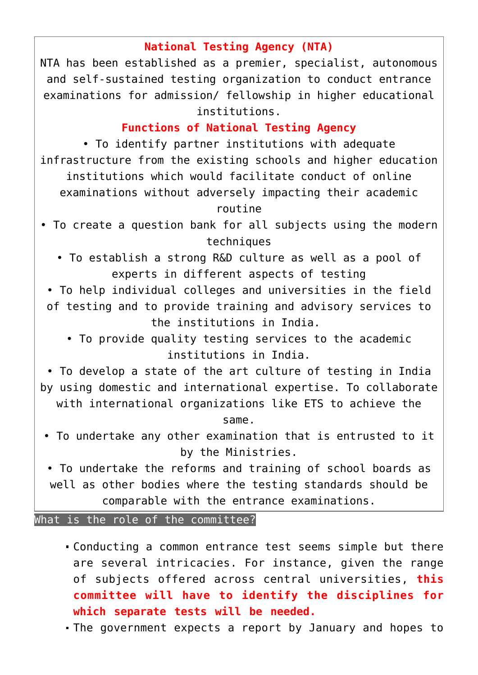## **National Testing Agency (NTA)**

NTA has been established as a premier, specialist, autonomous and self-sustained testing organization to conduct entrance examinations for admission/ fellowship in higher educational institutions.

# **Functions of National Testing Agency**

• To identify partner institutions with adequate infrastructure from the existing schools and higher education institutions which would facilitate conduct of online examinations without adversely impacting their academic routine

- To create a question bank for all subjects using the modern techniques
	- To establish a strong R&D culture as well as a pool of experts in different aspects of testing
- To help individual colleges and universities in the field of testing and to provide training and advisory services to the institutions in India.
	- To provide quality testing services to the academic institutions in India.

• To develop a state of the art culture of testing in India by using domestic and international expertise. To collaborate

with international organizations like ETS to achieve the same.

- To undertake any other examination that is entrusted to it by the Ministries.
- To undertake the reforms and training of school boards as well as other bodies where the testing standards should be comparable with the entrance examinations.

What is the role of the committee?

- Conducting a common entrance test seems simple but there are several intricacies. For instance, given the range of subjects offered across central universities, **this committee will have to identify the disciplines for which separate tests will be needed.**
- The government expects a report by January and hopes to